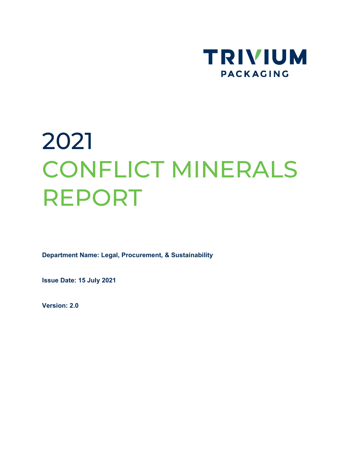

# 2021 CONFLICT MINERALS REPORT

**Department Name: Legal, Procurement, & Sustainability**

**Issue Date: 15 July 2021**

**Version: 2.0**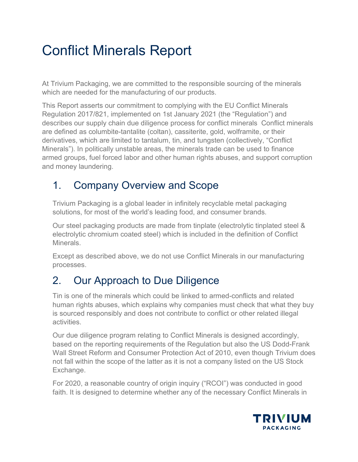# Conflict Minerals Report

At Trivium Packaging, we are committed to the responsible sourcing of the minerals which are needed for the manufacturing of our products.

This Report asserts our commitment to complying with the EU Conflict Minerals Regulation 2017/821, implemented on 1st January 2021 (the "Regulation") and describes our supply chain due diligence process for conflict minerals Conflict minerals are defined as columbite-tantalite (coltan), cassiterite, gold, wolframite, or their derivatives, which are limited to tantalum, tin, and tungsten (collectively, "Conflict Minerals"). In politically unstable areas, the minerals trade can be used to finance armed groups, fuel forced labor and other human rights abuses, and support corruption and money laundering.

## 1. Company Overview and Scope

Trivium Packaging is a global leader in infinitely recyclable metal packaging solutions, for most of the world's leading food, and consumer brands.

Our steel packaging products are made from tinplate (electrolytic tinplated steel & electrolytic chromium coated steel) which is included in the definition of Conflict Minerals.

Except as described above, we do not use Conflict Minerals in our manufacturing processes.

### 2. Our Approach to Due Diligence

Tin is one of the minerals which could be linked to armed-conflicts and related human rights abuses, which explains why companies must check that what they buy is sourced responsibly and does not contribute to conflict or other related illegal activities.

Our due diligence program relating to Conflict Minerals is designed accordingly, based on the reporting requirements of the Regulation but also the US Dodd-Frank Wall Street Reform and Consumer Protection Act of 2010, even though Trivium does not fall within the scope of the latter as it is not a company listed on the US Stock Exchange.

For 2020, a reasonable country of origin inquiry ("RCOI") was conducted in good faith. It is designed to determine whether any of the necessary Conflict Minerals in